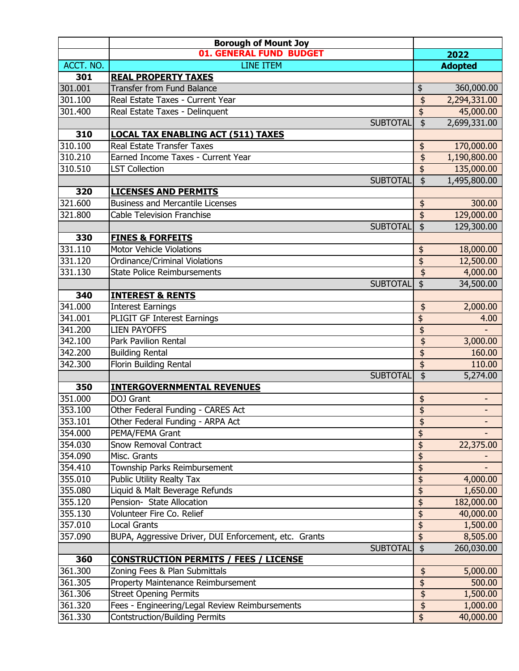| <b>01. GENERAL FUND BUDGET</b><br>2022<br>ACCT. NO.<br><b>LINE ITEM</b><br><b>Adopted</b><br>301<br><b>REAL PROPERTY TAXES</b><br>301.001<br><b>Transfer from Fund Balance</b><br>\$<br>$\frac{1}{2}$<br>301.100<br>2,294,331.00<br>Real Estate Taxes - Current Year<br>\$<br>301.400<br>Real Estate Taxes - Delinquent<br>\$<br><b>SUBTOTAL</b><br>2,699,331.00<br>310<br><b>LOCAL TAX ENABLING ACT (511) TAXES</b><br>310.100<br><b>Real Estate Transfer Taxes</b><br>170,000.00<br>\$<br>Earned Income Taxes - Current Year<br>\$<br>310.210<br>1,190,800.00<br>\$<br>310.510<br><b>LST Collection</b><br>\$<br>1,495,800.00<br><b>SUBTOTAL</b><br>320<br><b>LICENSES AND PERMITS</b><br>321.600<br><b>Business and Mercantile Licenses</b><br>\$<br>$\overline{\$}$<br>321.800<br><b>Cable Television Franchise</b><br>129,000.00<br>$\overline{\mathfrak{s}}$<br><b>SUBTOTAL</b><br>129,300.00<br>330<br><b>FINES &amp; FORFEITS</b><br>331.110<br><b>Motor Vehicle Violations</b><br>\$<br>$\overline{\$}$<br>331.120<br>Ordinance/Criminal Violations<br>$\frac{1}{2}$<br>331.130<br><b>State Police Reimbursements</b><br>$\overline{\mathfrak{s}}$<br><b>SUBTOTAL</b><br>340<br><b>INTEREST &amp; RENTS</b><br>341.000<br><b>Interest Earnings</b><br>\$<br>\$<br>PLIGIT GF Interest Earnings<br>341.001<br>341.200<br><b>LIEN PAYOFFS</b><br>\$ |            |
|-----------------------------------------------------------------------------------------------------------------------------------------------------------------------------------------------------------------------------------------------------------------------------------------------------------------------------------------------------------------------------------------------------------------------------------------------------------------------------------------------------------------------------------------------------------------------------------------------------------------------------------------------------------------------------------------------------------------------------------------------------------------------------------------------------------------------------------------------------------------------------------------------------------------------------------------------------------------------------------------------------------------------------------------------------------------------------------------------------------------------------------------------------------------------------------------------------------------------------------------------------------------------------------------------------------------------------------------------------------|------------|
|                                                                                                                                                                                                                                                                                                                                                                                                                                                                                                                                                                                                                                                                                                                                                                                                                                                                                                                                                                                                                                                                                                                                                                                                                                                                                                                                                           |            |
|                                                                                                                                                                                                                                                                                                                                                                                                                                                                                                                                                                                                                                                                                                                                                                                                                                                                                                                                                                                                                                                                                                                                                                                                                                                                                                                                                           |            |
|                                                                                                                                                                                                                                                                                                                                                                                                                                                                                                                                                                                                                                                                                                                                                                                                                                                                                                                                                                                                                                                                                                                                                                                                                                                                                                                                                           |            |
|                                                                                                                                                                                                                                                                                                                                                                                                                                                                                                                                                                                                                                                                                                                                                                                                                                                                                                                                                                                                                                                                                                                                                                                                                                                                                                                                                           | 360,000.00 |
|                                                                                                                                                                                                                                                                                                                                                                                                                                                                                                                                                                                                                                                                                                                                                                                                                                                                                                                                                                                                                                                                                                                                                                                                                                                                                                                                                           |            |
|                                                                                                                                                                                                                                                                                                                                                                                                                                                                                                                                                                                                                                                                                                                                                                                                                                                                                                                                                                                                                                                                                                                                                                                                                                                                                                                                                           | 45,000.00  |
|                                                                                                                                                                                                                                                                                                                                                                                                                                                                                                                                                                                                                                                                                                                                                                                                                                                                                                                                                                                                                                                                                                                                                                                                                                                                                                                                                           |            |
|                                                                                                                                                                                                                                                                                                                                                                                                                                                                                                                                                                                                                                                                                                                                                                                                                                                                                                                                                                                                                                                                                                                                                                                                                                                                                                                                                           |            |
|                                                                                                                                                                                                                                                                                                                                                                                                                                                                                                                                                                                                                                                                                                                                                                                                                                                                                                                                                                                                                                                                                                                                                                                                                                                                                                                                                           |            |
|                                                                                                                                                                                                                                                                                                                                                                                                                                                                                                                                                                                                                                                                                                                                                                                                                                                                                                                                                                                                                                                                                                                                                                                                                                                                                                                                                           |            |
|                                                                                                                                                                                                                                                                                                                                                                                                                                                                                                                                                                                                                                                                                                                                                                                                                                                                                                                                                                                                                                                                                                                                                                                                                                                                                                                                                           | 135,000.00 |
|                                                                                                                                                                                                                                                                                                                                                                                                                                                                                                                                                                                                                                                                                                                                                                                                                                                                                                                                                                                                                                                                                                                                                                                                                                                                                                                                                           |            |
|                                                                                                                                                                                                                                                                                                                                                                                                                                                                                                                                                                                                                                                                                                                                                                                                                                                                                                                                                                                                                                                                                                                                                                                                                                                                                                                                                           |            |
|                                                                                                                                                                                                                                                                                                                                                                                                                                                                                                                                                                                                                                                                                                                                                                                                                                                                                                                                                                                                                                                                                                                                                                                                                                                                                                                                                           | 300.00     |
|                                                                                                                                                                                                                                                                                                                                                                                                                                                                                                                                                                                                                                                                                                                                                                                                                                                                                                                                                                                                                                                                                                                                                                                                                                                                                                                                                           |            |
|                                                                                                                                                                                                                                                                                                                                                                                                                                                                                                                                                                                                                                                                                                                                                                                                                                                                                                                                                                                                                                                                                                                                                                                                                                                                                                                                                           |            |
|                                                                                                                                                                                                                                                                                                                                                                                                                                                                                                                                                                                                                                                                                                                                                                                                                                                                                                                                                                                                                                                                                                                                                                                                                                                                                                                                                           |            |
|                                                                                                                                                                                                                                                                                                                                                                                                                                                                                                                                                                                                                                                                                                                                                                                                                                                                                                                                                                                                                                                                                                                                                                                                                                                                                                                                                           | 18,000.00  |
|                                                                                                                                                                                                                                                                                                                                                                                                                                                                                                                                                                                                                                                                                                                                                                                                                                                                                                                                                                                                                                                                                                                                                                                                                                                                                                                                                           | 12,500.00  |
|                                                                                                                                                                                                                                                                                                                                                                                                                                                                                                                                                                                                                                                                                                                                                                                                                                                                                                                                                                                                                                                                                                                                                                                                                                                                                                                                                           | 4,000.00   |
|                                                                                                                                                                                                                                                                                                                                                                                                                                                                                                                                                                                                                                                                                                                                                                                                                                                                                                                                                                                                                                                                                                                                                                                                                                                                                                                                                           | 34,500.00  |
|                                                                                                                                                                                                                                                                                                                                                                                                                                                                                                                                                                                                                                                                                                                                                                                                                                                                                                                                                                                                                                                                                                                                                                                                                                                                                                                                                           |            |
|                                                                                                                                                                                                                                                                                                                                                                                                                                                                                                                                                                                                                                                                                                                                                                                                                                                                                                                                                                                                                                                                                                                                                                                                                                                                                                                                                           | 2,000.00   |
|                                                                                                                                                                                                                                                                                                                                                                                                                                                                                                                                                                                                                                                                                                                                                                                                                                                                                                                                                                                                                                                                                                                                                                                                                                                                                                                                                           | 4.00       |
|                                                                                                                                                                                                                                                                                                                                                                                                                                                                                                                                                                                                                                                                                                                                                                                                                                                                                                                                                                                                                                                                                                                                                                                                                                                                                                                                                           |            |
| \$<br>342.100<br><b>Park Pavilion Rental</b>                                                                                                                                                                                                                                                                                                                                                                                                                                                                                                                                                                                                                                                                                                                                                                                                                                                                                                                                                                                                                                                                                                                                                                                                                                                                                                              | 3,000.00   |
| \$<br>342.200<br><b>Building Rental</b>                                                                                                                                                                                                                                                                                                                                                                                                                                                                                                                                                                                                                                                                                                                                                                                                                                                                                                                                                                                                                                                                                                                                                                                                                                                                                                                   | 160.00     |
| $\overline{\mathbf{B}}$<br>Florin Building Rental<br>342.300                                                                                                                                                                                                                                                                                                                                                                                                                                                                                                                                                                                                                                                                                                                                                                                                                                                                                                                                                                                                                                                                                                                                                                                                                                                                                              | 110.00     |
| \$<br><b>SUBTOTAL</b>                                                                                                                                                                                                                                                                                                                                                                                                                                                                                                                                                                                                                                                                                                                                                                                                                                                                                                                                                                                                                                                                                                                                                                                                                                                                                                                                     | 5,274.00   |
| 350<br><b>INTERGOVERNMENTAL REVENUES</b>                                                                                                                                                                                                                                                                                                                                                                                                                                                                                                                                                                                                                                                                                                                                                                                                                                                                                                                                                                                                                                                                                                                                                                                                                                                                                                                  |            |
| 351.000<br>DOJ Grant<br>\$                                                                                                                                                                                                                                                                                                                                                                                                                                                                                                                                                                                                                                                                                                                                                                                                                                                                                                                                                                                                                                                                                                                                                                                                                                                                                                                                |            |
| \$<br>353.100<br>Other Federal Funding - CARES Act                                                                                                                                                                                                                                                                                                                                                                                                                                                                                                                                                                                                                                                                                                                                                                                                                                                                                                                                                                                                                                                                                                                                                                                                                                                                                                        |            |
| Other Federal Funding - ARPA Act<br>353.101<br>\$                                                                                                                                                                                                                                                                                                                                                                                                                                                                                                                                                                                                                                                                                                                                                                                                                                                                                                                                                                                                                                                                                                                                                                                                                                                                                                         |            |
| $\overline{\boldsymbol{\mathsf{S}}}$<br>PEMA/FEMA Grant<br>354.000                                                                                                                                                                                                                                                                                                                                                                                                                                                                                                                                                                                                                                                                                                                                                                                                                                                                                                                                                                                                                                                                                                                                                                                                                                                                                        |            |
| 354.030<br>Snow Removal Contract<br>\$                                                                                                                                                                                                                                                                                                                                                                                                                                                                                                                                                                                                                                                                                                                                                                                                                                                                                                                                                                                                                                                                                                                                                                                                                                                                                                                    | 22,375.00  |
| 354.090<br>Misc. Grants<br>\$                                                                                                                                                                                                                                                                                                                                                                                                                                                                                                                                                                                                                                                                                                                                                                                                                                                                                                                                                                                                                                                                                                                                                                                                                                                                                                                             |            |
| \$<br>354.410<br>Township Parks Reimbursement                                                                                                                                                                                                                                                                                                                                                                                                                                                                                                                                                                                                                                                                                                                                                                                                                                                                                                                                                                                                                                                                                                                                                                                                                                                                                                             |            |
| \$<br>355.010<br>Public Utility Realty Tax                                                                                                                                                                                                                                                                                                                                                                                                                                                                                                                                                                                                                                                                                                                                                                                                                                                                                                                                                                                                                                                                                                                                                                                                                                                                                                                | 4,000.00   |
| \$<br>355.080<br>Liquid & Malt Beverage Refunds                                                                                                                                                                                                                                                                                                                                                                                                                                                                                                                                                                                                                                                                                                                                                                                                                                                                                                                                                                                                                                                                                                                                                                                                                                                                                                           | 1,650.00   |
| 355.120<br>\$<br>Pension- State Allocation                                                                                                                                                                                                                                                                                                                                                                                                                                                                                                                                                                                                                                                                                                                                                                                                                                                                                                                                                                                                                                                                                                                                                                                                                                                                                                                | 182,000.00 |
| \$<br>355.130<br>Volunteer Fire Co. Relief                                                                                                                                                                                                                                                                                                                                                                                                                                                                                                                                                                                                                                                                                                                                                                                                                                                                                                                                                                                                                                                                                                                                                                                                                                                                                                                | 40,000.00  |
| \$<br>357.010<br><b>Local Grants</b>                                                                                                                                                                                                                                                                                                                                                                                                                                                                                                                                                                                                                                                                                                                                                                                                                                                                                                                                                                                                                                                                                                                                                                                                                                                                                                                      | 1,500.00   |
| \$<br>357.090<br>BUPA, Aggressive Driver, DUI Enforcement, etc. Grants                                                                                                                                                                                                                                                                                                                                                                                                                                                                                                                                                                                                                                                                                                                                                                                                                                                                                                                                                                                                                                                                                                                                                                                                                                                                                    | 8,505.00   |
| \$<br><b>SUBTOTAL</b>                                                                                                                                                                                                                                                                                                                                                                                                                                                                                                                                                                                                                                                                                                                                                                                                                                                                                                                                                                                                                                                                                                                                                                                                                                                                                                                                     | 260,030.00 |
| 360<br><u>CONSTRUCTION PERMITS / FEES / LICENSE</u>                                                                                                                                                                                                                                                                                                                                                                                                                                                                                                                                                                                                                                                                                                                                                                                                                                                                                                                                                                                                                                                                                                                                                                                                                                                                                                       |            |
| 361.300<br>Zoning Fees & Plan Submittals<br>\$                                                                                                                                                                                                                                                                                                                                                                                                                                                                                                                                                                                                                                                                                                                                                                                                                                                                                                                                                                                                                                                                                                                                                                                                                                                                                                            | 5,000.00   |
| $\overline{\mathbf{P}}$<br>361.305<br>Property Maintenance Reimbursement                                                                                                                                                                                                                                                                                                                                                                                                                                                                                                                                                                                                                                                                                                                                                                                                                                                                                                                                                                                                                                                                                                                                                                                                                                                                                  | 500.00     |
| 361.306<br><b>Street Opening Permits</b><br>\$                                                                                                                                                                                                                                                                                                                                                                                                                                                                                                                                                                                                                                                                                                                                                                                                                                                                                                                                                                                                                                                                                                                                                                                                                                                                                                            | 1,500.00   |
| \$<br>361.320<br>Fees - Engineering/Legal Review Reimbursements                                                                                                                                                                                                                                                                                                                                                                                                                                                                                                                                                                                                                                                                                                                                                                                                                                                                                                                                                                                                                                                                                                                                                                                                                                                                                           | 1,000.00   |
| \$<br>361.330<br><b>Contstruction/Building Permits</b><br>40,000.00                                                                                                                                                                                                                                                                                                                                                                                                                                                                                                                                                                                                                                                                                                                                                                                                                                                                                                                                                                                                                                                                                                                                                                                                                                                                                       |            |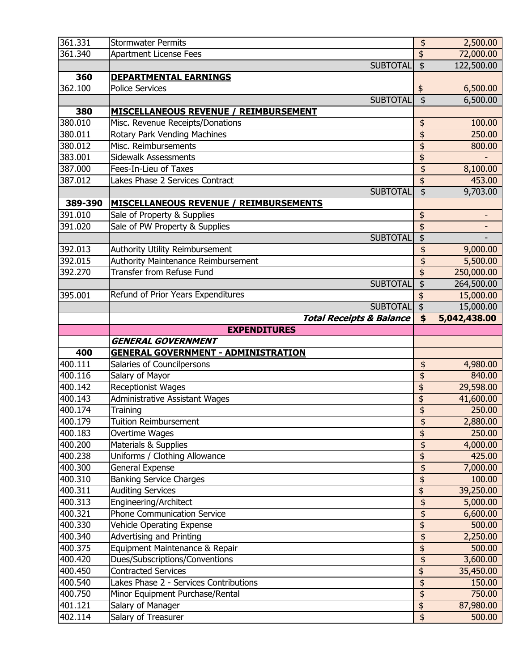| 361.331            | <b>Stormwater Permits</b>                     | \$                              | 2,500.00            |
|--------------------|-----------------------------------------------|---------------------------------|---------------------|
| 361.340            | <b>Apartment License Fees</b>                 | $\overline{\mathbf{B}}$         | 72,000.00           |
|                    | <b>SUBTOTAL</b>                               | $\overline{\mathbf{t}}$         | 122,500.00          |
| 360                | <b>DEPARTMENTAL EARNINGS</b>                  |                                 |                     |
| 362.100            | <b>Police Services</b>                        | \$                              | 6,500.00            |
|                    | <b>SUBTOTAL</b>                               | $\ddot{\bm{z}}$                 | 6,500.00            |
| 380                | <b>MISCELLANEOUS REVENUE / REIMBURSEMENT</b>  |                                 |                     |
| 380.010            | Misc. Revenue Receipts/Donations              | \$                              | 100.00              |
| 380.011            | Rotary Park Vending Machines                  | \$                              | 250.00              |
| 380.012            | Misc. Reimbursements                          | \$                              | 800.00              |
| 383.001            | <b>Sidewalk Assessments</b>                   | \$                              |                     |
| 387.000            | Fees-In-Lieu of Taxes                         | \$                              | 8,100.00            |
| 387.012            | Lakes Phase 2 Services Contract               | \$                              | 453.00              |
|                    | <b>SUBTOTAL</b>                               | \$                              | 9,703.00            |
| 389-390            | <b>MISCELLANEOUS REVENUE / REIMBURSEMENTS</b> |                                 |                     |
| 391.010            | Sale of Property & Supplies                   | \$                              |                     |
| 391.020            | Sale of PW Property & Supplies                | \$                              |                     |
|                    | <b>SUBTOTAL</b>                               | \$                              |                     |
| 392.013            | Authority Utility Reimbursement               | \$                              | 9,000.00            |
| 392.015            | Authority Maintenance Reimbursement           | \$                              | 5,500.00            |
| 392.270            | Transfer from Refuse Fund                     | \$                              | 250,000.00          |
|                    | <b>SUBTOTAL</b>                               | $\overline{\mathfrak{s}}$       | 264,500.00          |
| 395.001            | Refund of Prior Years Expenditures            | \$                              | 15,000.00           |
|                    | <b>SUBTOTAL</b>                               | $\overline{\$}$                 | 15,000.00           |
|                    | <b>Total Receipts &amp; Balance</b>           | $\frac{1}{2}$                   | 5,042,438.00        |
|                    |                                               |                                 |                     |
|                    | <b>EXPENDITURES</b>                           |                                 |                     |
|                    | <b>GENERAL GOVERNMENT</b>                     |                                 |                     |
| 400                | <b>GENERAL GOVERNMENT - ADMINISTRATION</b>    |                                 |                     |
| 400.111            | Salaries of Councilpersons                    | \$                              | 4,980.00            |
| 400.116            | Salary of Mayor                               | \$                              | 840.00              |
| 400.142            | Receptionist Wages                            | $\overline{\mathfrak{s}}$       | 29,598.00           |
| 400.143            | <b>Administrative Assistant Wages</b>         | \$                              | 41,600.00           |
| 400.174            | Training                                      | $\overline{\mathfrak{s}}$       | 250.00              |
| 400.179            | <b>Tuition Reimbursement</b>                  | \$                              | 2,880.00            |
| 400.183            | Overtime Wages                                | \$                              | 250.00              |
| 400.200            | Materials & Supplies                          | \$                              | 4,000.00            |
| 400.238            | Uniforms / Clothing Allowance                 | \$                              | 425.00              |
| 400.300            | General Expense                               | \$                              | 7,000.00            |
| 400.310            | <b>Banking Service Charges</b>                | \$                              | 100.00              |
| 400.311            | <b>Auditing Services</b>                      | \$                              | 39,250.00           |
| 400.313            | Engineering/Architect                         | \$                              | 5,000.00            |
| 400.321            | <b>Phone Communication Service</b>            | \$                              | 6,600.00            |
| 400.330            | <b>Vehicle Operating Expense</b>              | \$                              | 500.00              |
| 400.340            | Advertising and Printing                      | \$                              | 2,250.00            |
| 400.375            | Equipment Maintenance & Repair                | \$                              | 500.00              |
| 400.420            | Dues/Subscriptions/Conventions                | $\overline{\mathfrak{s}}$       | 3,600.00            |
| 400.450            | Contracted Services                           | \$                              | 35,450.00           |
| 400.540            | Lakes Phase 2 - Services Contributions        | \$                              | 150.00              |
| 400.750            | Minor Equipment Purchase/Rental               | \$                              | 750.00              |
| 401.121<br>402.114 | Salary of Manager<br>Salary of Treasurer      | $\overline{\mathfrak{s}}$<br>\$ | 87,980.00<br>500.00 |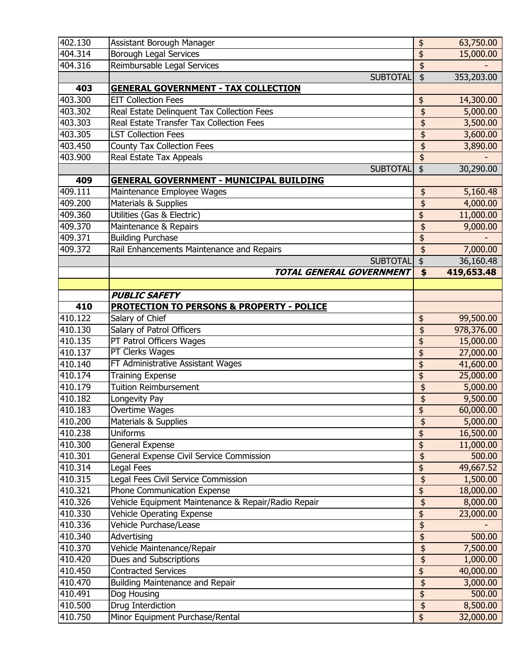| 402.130            | Assistant Borough Manager                            | \$                                   | 63,750.00  |
|--------------------|------------------------------------------------------|--------------------------------------|------------|
| 404.314            | <b>Borough Legal Services</b>                        | \$                                   | 15,000.00  |
| 404.316            | Reimbursable Legal Services                          | $\overline{\mathbf{3}}$              |            |
|                    | <b>SUBTOTAL</b>                                      | $\overline{\mathfrak{s}}$            | 353,203.00 |
| 403                | <b>GENERAL GOVERNMENT - TAX COLLECTION</b>           |                                      |            |
| 403.300            | <b>EIT Collection Fees</b>                           | \$                                   | 14,300.00  |
| 403.302            | Real Estate Delinquent Tax Collection Fees           | \$                                   | 5,000.00   |
| 403.303            | Real Estate Transfer Tax Collection Fees             | \$                                   | 3,500.00   |
| 403.305            | <b>LST Collection Fees</b>                           | \$                                   | 3,600.00   |
| 403.450            | <b>County Tax Collection Fees</b>                    | \$                                   | 3,890.00   |
| 403.900            | Real Estate Tax Appeals                              | \$                                   |            |
|                    | <b>SUBTOTAL</b>                                      | $\overline{\$}$                      | 30,290.00  |
| 409                | <b>GENERAL GOVERNMENT - MUNICIPAL BUILDING</b>       |                                      |            |
| 409.111            | Maintenance Employee Wages                           | \$                                   | 5,160.48   |
| 409.200            | Materials & Supplies                                 | \$                                   | 4,000.00   |
| 409.360            | Utilities (Gas & Electric)                           | $\overline{\mathfrak{s}}$            | 11,000.00  |
| 409.370            | Maintenance & Repairs                                | \$                                   | 9,000.00   |
| 409.371            | <b>Building Purchase</b>                             | \$                                   |            |
| 409.372            | Rail Enhancements Maintenance and Repairs            | \$                                   | 7,000.00   |
|                    | <b>SUBTOTAL</b>                                      | $\overline{\$}$                      | 36,160.48  |
|                    | TOTAL GENERAL GOVERNMENT                             | \$                                   | 419,653.48 |
|                    |                                                      |                                      |            |
|                    | <b>PUBLIC SAFETY</b>                                 |                                      |            |
| 410                | <b>PROTECTION TO PERSONS &amp; PROPERTY - POLICE</b> |                                      |            |
| 410.122            | Salary of Chief                                      | \$                                   | 99,500.00  |
| 410.130            | Salary of Patrol Officers                            | \$                                   | 978,376.00 |
| 410.135            | PT Patrol Officers Wages                             | \$                                   | 15,000.00  |
| 410.137            | PT Clerks Wages                                      | $\overline{\mathbf{P}}$              | 27,000.00  |
| 410.140            | FT Administrative Assistant Wages                    | \$                                   | 41,600.00  |
| 410.174            | <b>Training Expense</b>                              | \$                                   | 25,000.00  |
| 410.179            | <b>Tuition Reimbursement</b>                         | \$                                   | 5,000.00   |
| 410.182            | Longevity Pay                                        | \$                                   | 9,500.00   |
| 410.183            | Overtime Wages                                       | $\overline{\boldsymbol{\mathsf{S}}}$ | 60,000.00  |
| 410.200            | Materials & Supplies                                 | \$                                   | 5,000.00   |
| 410.238            | <b>Uniforms</b>                                      | $\overline{\$}$                      | 16,500.00  |
| 410.300            | General Expense                                      | \$                                   | 11,000.00  |
| 410.301            | General Expense Civil Service Commission             | \$                                   | 500.00     |
| 410.314            | <b>Legal Fees</b>                                    | \$                                   | 49,667.52  |
| 410.315            | Legal Fees Civil Service Commission                  | \$                                   | 1,500.00   |
| 410.321            | <b>Phone Communication Expense</b>                   | \$                                   | 18,000.00  |
| 410.326            | Vehicle Equipment Maintenance & Repair/Radio Repair  | \$                                   | 8,000.00   |
| 410.330            | <b>Vehicle Operating Expense</b>                     | \$                                   | 23,000.00  |
| 410.336            | Vehicle Purchase/Lease                               | \$                                   |            |
| 410.340<br>410.370 | Advertising<br>Vehicle Maintenance/Repair            | \$                                   | 500.00     |
| 410.420            |                                                      | \$                                   | 7,500.00   |
| 410.450            | Dues and Subscriptions<br><b>Contracted Services</b> | \$                                   | 1,000.00   |
|                    |                                                      | \$                                   | 40,000.00  |
| 410.470<br>410.491 | <b>Building Maintenance and Repair</b>               | \$                                   | 3,000.00   |
| 410.500            | Dog Housing<br>Drug Interdiction                     | \$                                   | 500.00     |
|                    |                                                      | \$                                   | 8,500.00   |
| 410.750            | Minor Equipment Purchase/Rental                      | \$                                   | 32,000.00  |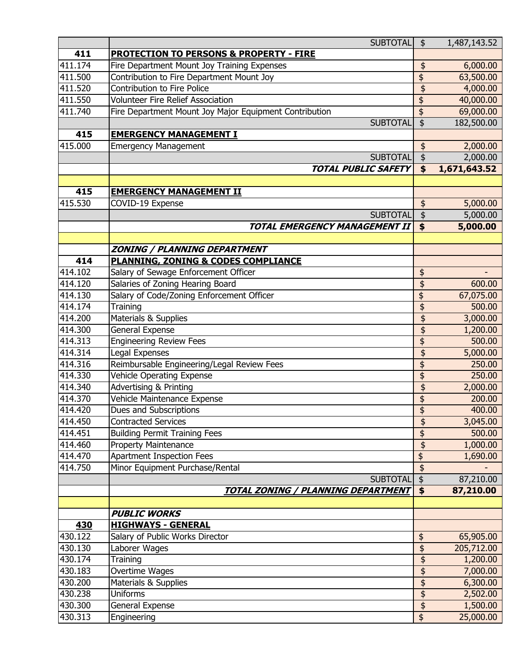|            | <b>SUBTOTAL</b>                                        | $\frac{1}{2}$             | 1,487,143.52 |
|------------|--------------------------------------------------------|---------------------------|--------------|
| 411        | <b>PROTECTION TO PERSONS &amp; PROPERTY - FIRE</b>     |                           |              |
| 411.174    | Fire Department Mount Joy Training Expenses            | \$                        | 6,000.00     |
| 411.500    | Contribution to Fire Department Mount Joy              | \$                        | 63,500.00    |
| 411.520    | Contribution to Fire Police                            | \$                        | 4,000.00     |
| 411.550    | <b>Volunteer Fire Relief Association</b>               | \$                        | 40,000.00    |
| 411.740    | Fire Department Mount Joy Major Equipment Contribution | \$                        | 69,000.00    |
|            | <b>SUBTOTAL</b>                                        | \$                        | 182,500.00   |
| 415        | <b>EMERGENCY MANAGEMENT I</b>                          |                           |              |
| 415.000    | <b>Emergency Management</b>                            | \$                        | 2,000.00     |
|            | <b>SUBTOTAL</b>                                        | $\overline{\$}$           | 2,000.00     |
|            | <b>TOTAL PUBLIC SAFETY</b>                             | $\frac{1}{2}$             | 1,671,643.52 |
|            |                                                        |                           |              |
| 415        | <b>EMERGENCY MANAGEMENT II</b>                         |                           |              |
| 415.530    | COVID-19 Expense                                       | \$                        | 5,000.00     |
|            | <b>SUBTOTAL</b>                                        | \$                        | 5,000.00     |
|            | TOTAL EMERGENCY MANAGEMENT II                          | \$                        | 5,000.00     |
|            |                                                        |                           |              |
|            | <b>ZONING / PLANNING DEPARTMENT</b>                    |                           |              |
| 414        | <b>PLANNING, ZONING &amp; CODES COMPLIANCE</b>         |                           |              |
| 414.102    | Salary of Sewage Enforcement Officer                   | \$                        |              |
| 414.120    | Salaries of Zoning Hearing Board                       | $\overline{\mathfrak{s}}$ | 600.00       |
| 414.130    | Salary of Code/Zoning Enforcement Officer              | $\overline{\mathfrak{s}}$ | 67,075.00    |
| 414.174    | Training                                               | \$                        | 500.00       |
| 414.200    | Materials & Supplies                                   | \$                        | 3,000.00     |
| 414.300    | <b>General Expense</b>                                 | \$                        | 1,200.00     |
| 414.313    | <b>Engineering Review Fees</b>                         | \$                        | 500.00       |
| 414.314    | Legal Expenses                                         | \$                        | 5,000.00     |
| 414.316    | Reimbursable Engineering/Legal Review Fees             | \$                        | 250.00       |
| 414.330    | <b>Vehicle Operating Expense</b>                       | $\overline{\mathbf{3}}$   | 250.00       |
| 414.340    | <b>Advertising &amp; Printing</b>                      | \$                        | 2,000.00     |
| 414.370    | Vehicle Maintenance Expense                            | \$                        | 200.00       |
| 414.420    | <b>Dues and Subscriptions</b>                          | \$                        | 400.00       |
| 414.450    | <b>Contracted Services</b>                             | \$                        | 3,045.00     |
| 414.451    | <b>Building Permit Training Fees</b>                   | \$                        | 500.00       |
| 414.460    | <b>Property Maintenance</b>                            | \$                        | 1,000.00     |
| 414.470    | <b>Apartment Inspection Fees</b>                       | \$                        | 1,690.00     |
| 414.750    | Minor Equipment Purchase/Rental                        | \$                        |              |
|            | <b>SUBTOTAL</b>                                        | \$                        | 87,210.00    |
|            | <b>TOTAL ZONING / PLANNING DEPARTMENT</b>              | \$                        | 87,210.00    |
|            |                                                        |                           |              |
|            | <b>PUBLIC WORKS</b>                                    |                           |              |
| <b>430</b> | <u> HIGHWAYS - GENERAL</u>                             |                           |              |
| 430.122    | Salary of Public Works Director                        | \$                        | 65,905.00    |
| 430.130    | Laborer Wages                                          | \$                        | 205,712.00   |
| 430.174    | Training                                               | \$                        | 1,200.00     |
| 430.183    | Overtime Wages                                         | \$                        | 7,000.00     |
| 430.200    | Materials & Supplies                                   | \$                        | 6,300.00     |
| 430.238    | <b>Uniforms</b>                                        | \$                        | 2,502.00     |
| 430.300    | General Expense                                        | \$                        | 1,500.00     |
| 430.313    | Engineering                                            | \$                        | 25,000.00    |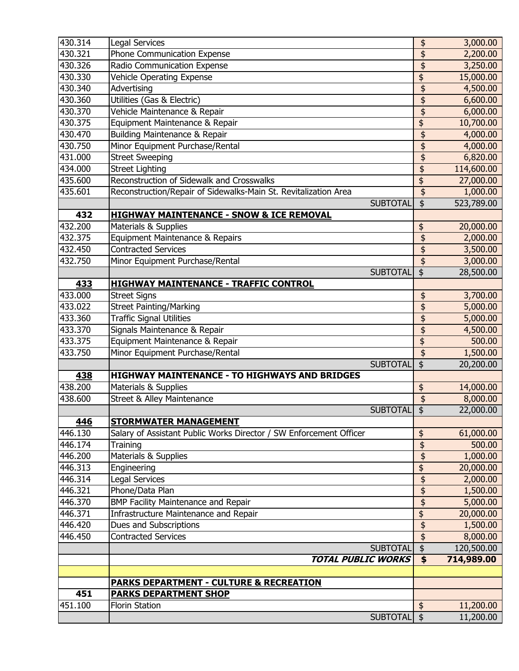| 430.314    | Legal Services                                                     | \$                        | 3,000.00   |
|------------|--------------------------------------------------------------------|---------------------------|------------|
| 430.321    | Phone Communication Expense                                        | \$                        | 2,200.00   |
| 430.326    | <b>Radio Communication Expense</b>                                 | \$                        | 3,250.00   |
| 430.330    | <b>Vehicle Operating Expense</b>                                   | \$                        | 15,000.00  |
| 430.340    | Advertising                                                        | \$                        | 4,500.00   |
| 430.360    | Utilities (Gas & Electric)                                         | \$                        | 6,600.00   |
| 430.370    | Vehicle Maintenance & Repair                                       | \$                        | 6,000.00   |
| 430.375    | Equipment Maintenance & Repair                                     | $\overline{\mathbf{3}}$   | 10,700.00  |
| 430.470    | Building Maintenance & Repair                                      | \$                        | 4,000.00   |
| 430.750    | Minor Equipment Purchase/Rental                                    | $\overline{\mathbf{3}}$   | 4,000.00   |
| 431.000    | <b>Street Sweeping</b>                                             | \$                        | 6,820.00   |
| 434.000    | <b>Street Lighting</b>                                             | $\overline{\mathfrak{s}}$ | 114,600.00 |
| 435.600    | Reconstruction of Sidewalk and Crosswalks                          | \$                        | 27,000.00  |
| 435.601    | Reconstruction/Repair of Sidewalks-Main St. Revitalization Area    | \$                        | 1,000.00   |
|            | <b>SUBTOTAL</b>                                                    | \$                        | 523,789.00 |
| 432        | <b>HIGHWAY MAINTENANCE - SNOW &amp; ICE REMOVAL</b>                |                           |            |
| 432.200    | Materials & Supplies                                               | \$                        | 20,000.00  |
| 432.375    | Equipment Maintenance & Repairs                                    | \$                        | 2,000.00   |
| 432.450    | <b>Contracted Services</b>                                         | \$                        | 3,500.00   |
| 432.750    | Minor Equipment Purchase/Rental                                    | $\frac{1}{2}$             | 3,000.00   |
|            | <b>SUBTOTAL</b>                                                    | \$                        | 28,500.00  |
| 433        | <b>HIGHWAY MAINTENANCE - TRAFFIC CONTROL</b>                       |                           |            |
| 433.000    | <b>Street Signs</b>                                                | $\frac{4}{5}$             | 3,700.00   |
| 433.022    | <b>Street Painting/Marking</b>                                     | \$                        | 5,000.00   |
| 433.360    | <b>Traffic Signal Utilities</b>                                    | \$                        | 5,000.00   |
| 433.370    | Signals Maintenance & Repair                                       | \$                        | 4,500.00   |
| 433.375    | Equipment Maintenance & Repair                                     | \$                        | 500.00     |
| 433.750    | Minor Equipment Purchase/Rental                                    | $\overline{\mathbf{S}}$   | 1,500.00   |
|            | <b>SUBTOTAL</b>                                                    | $\overline{\mathfrak{s}}$ | 20,200.00  |
| <b>438</b> | <b>HIGHWAY MAINTENANCE - TO HIGHWAYS AND BRIDGES</b>               |                           |            |
| 438.200    | Materials & Supplies                                               | \$                        | 14,000.00  |
| 438.600    | <b>Street &amp; Alley Maintenance</b>                              | $\frac{1}{2}$             | 8,000.00   |
|            | <b>SUBTOTAL</b>                                                    | \$                        | 22,000.00  |
| <u>446</u> | <b>STORMWATER MANAGEMENT</b>                                       |                           |            |
| 446.130    | Salary of Assistant Public Works Director / SW Enforcement Officer | \$                        | 61,000.00  |
| 446.174    | Training                                                           | \$                        | 500.00     |
| 446.200    | Materials & Supplies                                               | $\frac{1}{2}$             | 1,000.00   |
| 446.313    | Engineering                                                        | \$                        | 20,000.00  |
| 446.314    | <b>Legal Services</b>                                              | \$                        | 2,000.00   |
| 446.321    | Phone/Data Plan                                                    | \$                        | 1,500.00   |
| 446.370    | BMP Facility Maintenance and Repair                                | \$                        | 5,000.00   |
| 446.371    | Infrastructure Maintenance and Repair                              | \$                        | 20,000.00  |
| 446.420    | Dues and Subscriptions                                             | \$                        | 1,500.00   |
| 446.450    | <b>Contracted Services</b>                                         | \$                        | 8,000.00   |
|            | <b>SUBTOTAL</b>                                                    | $\frac{1}{2}$             | 120,500.00 |
|            | <b>TOTAL PUBLIC WORKS</b>                                          | \$                        | 714,989.00 |
|            |                                                                    |                           |            |
|            | <b>PARKS DEPARTMENT - CULTURE &amp; RECREATION</b>                 |                           |            |
| 451        | <b>PARKS DEPARTMENT SHOP</b>                                       |                           |            |
| 451.100    | <b>Florin Station</b>                                              | \$                        | 11,200.00  |
|            | <b>SUBTOTAL</b>                                                    | $\frac{1}{2}$             | 11,200.00  |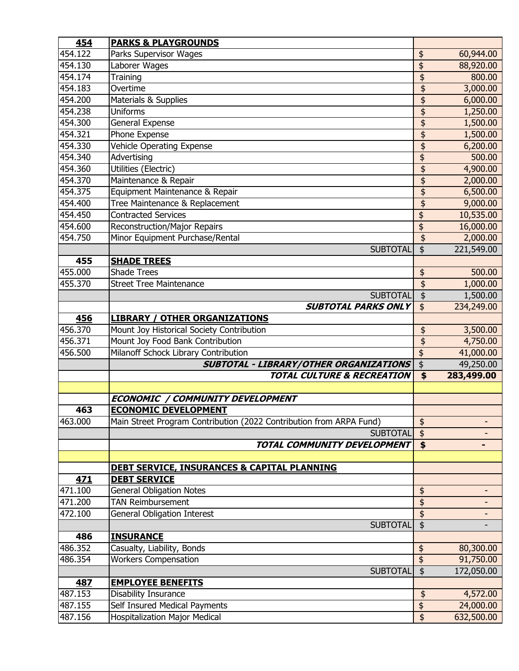| <u>454</u> | <b>PARKS &amp; PLAYGROUNDS</b>                                      |                           |            |
|------------|---------------------------------------------------------------------|---------------------------|------------|
| 454.122    | Parks Supervisor Wages                                              | \$                        | 60,944.00  |
| 454.130    | Laborer Wages                                                       | \$                        | 88,920.00  |
| 454.174    | Training                                                            | \$                        | 800.00     |
| 454.183    | Overtime                                                            | \$                        | 3,000.00   |
| 454.200    | Materials & Supplies                                                | \$                        | 6,000.00   |
| 454.238    | <b>Uniforms</b>                                                     | \$                        | 1,250.00   |
| 454.300    | General Expense                                                     | \$                        | 1,500.00   |
| 454.321    | Phone Expense                                                       | \$                        | 1,500.00   |
| 454.330    | <b>Vehicle Operating Expense</b>                                    | \$                        | 6,200.00   |
| 454.340    | Advertising                                                         | \$                        | 500.00     |
| 454.360    | Utilities (Electric)                                                | \$                        | 4,900.00   |
| 454.370    | Maintenance & Repair                                                | \$                        | 2,000.00   |
| 454.375    | Equipment Maintenance & Repair                                      | \$                        | 6,500.00   |
| 454.400    | Tree Maintenance & Replacement                                      | \$                        | 9,000.00   |
| 454.450    | <b>Contracted Services</b>                                          | \$                        | 10,535.00  |
| 454.600    | Reconstruction/Major Repairs                                        | $\overline{\mathbf{P}}$   | 16,000.00  |
| 454.750    | Minor Equipment Purchase/Rental                                     | \$                        | 2,000.00   |
|            | <b>SUBTOTAL</b>                                                     | \$                        | 221,549.00 |
| 455        | <b>SHADE TREES</b>                                                  |                           |            |
| 455.000    | <b>Shade Trees</b>                                                  | \$                        | 500.00     |
| 455.370    | <b>Street Tree Maintenance</b>                                      | $\overline{\mathbf{3}}$   | 1,000.00   |
|            | <b>SUBTOTAL</b>                                                     | \$                        | 1,500.00   |
|            | <b>SUBTOTAL PARKS ONLY</b>                                          | $\ddot{\bm{z}}$           | 234,249.00 |
| <b>456</b> | <b>LIBRARY / OTHER ORGANIZATIONS</b>                                |                           |            |
| 456.370    | Mount Joy Historical Society Contribution                           | \$                        | 3,500.00   |
| 456.371    | Mount Joy Food Bank Contribution                                    | \$                        | 4,750.00   |
| 456.500    | Milanoff Schock Library Contribution                                | \$                        | 41,000.00  |
|            | <b>SUBTOTAL - LIBRARY/OTHER ORGANIZATIONS</b>                       | $\overline{\mathbf{P}}$   | 49,250.00  |
|            | <b>TOTAL CULTURE &amp; RECREATION</b>                               | $\frac{1}{2}$             | 283,499.00 |
|            |                                                                     |                           |            |
|            | <b>ECONOMIC / COMMUNITY DEVELOPMENT</b>                             |                           |            |
| 463        | <b>ECONOMIC DEVELOPMENT</b>                                         |                           |            |
| 463.000    | Main Street Program Contribution (2022 Contribution from ARPA Fund) | \$                        |            |
|            | <b>SUBTOTAL</b>                                                     | $\overline{\$}$           |            |
|            | TOTAL COMMUNITY DEVELOPMENT                                         | $\overline{\bullet}$      |            |
|            |                                                                     |                           |            |
|            | <u>DEBT SERVICE, INSURANCES &amp; CAPITAL PLANNING</u>              |                           |            |
| 471        | <b>DEBT SERVICE</b>                                                 |                           |            |
| 471.100    | <b>General Obligation Notes</b>                                     | \$                        |            |
| 471.200    | <b>TAN Reimbursement</b>                                            | $\frac{1}{2}$             |            |
| 472.100    | <b>General Obligation Interest</b>                                  | \$                        |            |
|            | <b>SUBTOTAL</b>                                                     | \$                        |            |
| 486        | <b>INSURANCE</b>                                                    |                           |            |
| 486.352    | Casualty, Liability, Bonds                                          | \$                        | 80,300.00  |
| 486.354    | <b>Workers Compensation</b>                                         | \$                        | 91,750.00  |
|            | <b>SUBTOTAL</b>                                                     | $\overline{\mathfrak{s}}$ | 172,050.00 |
| 487        | <b>EMPLOYEE BENEFITS</b>                                            |                           |            |
| 487.153    | Disability Insurance                                                | \$                        | 4,572.00   |
| 487.155    | Self Insured Medical Payments                                       | \$                        | 24,000.00  |
| 487.156    | <b>Hospitalization Major Medical</b>                                | \$                        | 632,500.00 |